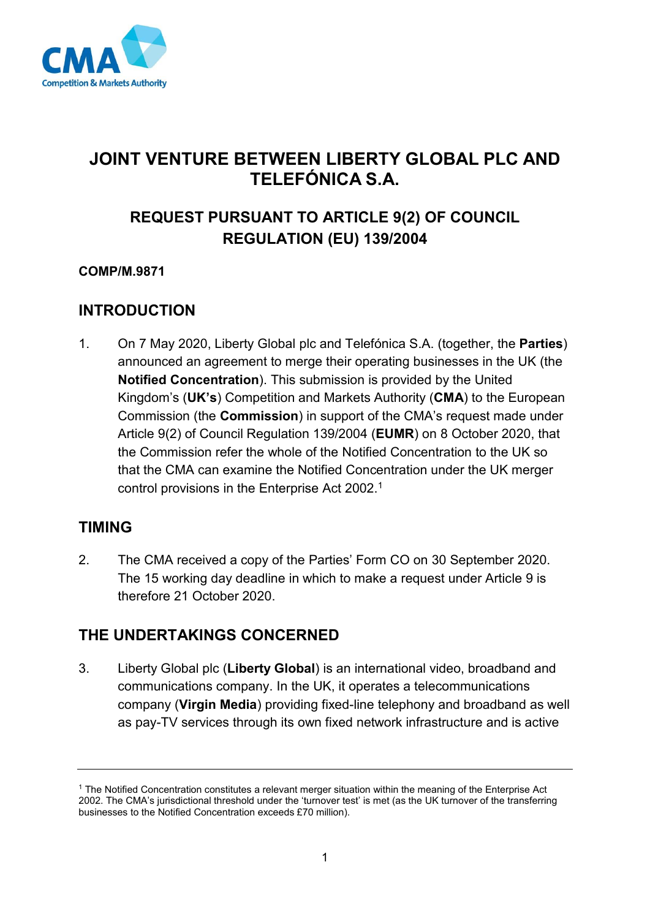

# **JOINT VENTURE BETWEEN LIBERTY GLOBAL PLC AND TELEFÓNICA S.A.**

# **REQUEST PURSUANT TO ARTICLE 9(2) OF COUNCIL REGULATION (EU) 139/2004**

### **COMP/M.9871**

## **INTRODUCTION**

1. On 7 May 2020, Liberty Global plc and Telefónica S.A. (together, the **Parties**) announced an agreement to merge their operating businesses in the UK (the **Notified Concentration**). This submission is provided by the United Kingdom's (**UK's**) Competition and Markets Authority (**CMA**) to the European Commission (the **Commission**) in support of the CMA's request made under Article 9(2) of Council Regulation 139/2004 (**EUMR**) on 8 October 2020, that the Commission refer the whole of the Notified Concentration to the UK so that the CMA can examine the Notified Concentration under the UK merger control provisions in the Enterprise Act 2002.<sup>1</sup>

## **TIMING**

2. The CMA received a copy of the Parties' Form CO on 30 September 2020. The 15 working day deadline in which to make a request under Article 9 is therefore 21 October 2020.

## **THE UNDERTAKINGS CONCERNED**

3. Liberty Global plc (**Liberty Global**) is an international video, broadband and communications company. In the UK, it operates a telecommunications company (**Virgin Media**) providing fixed-line telephony and broadband as well as pay-TV services through its own fixed network infrastructure and is active

<sup>1</sup> The Notified Concentration constitutes a relevant merger situation within the meaning of the Enterprise Act 2002. The CMA's jurisdictional threshold under the 'turnover test' is met (as the UK turnover of the transferring businesses to the Notified Concentration exceeds £70 million).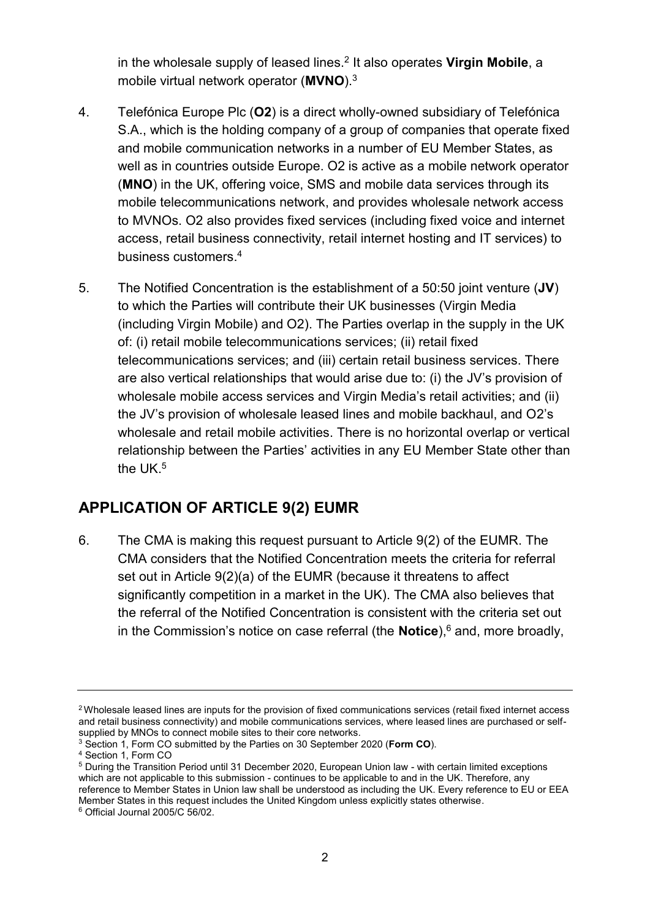in the wholesale supply of leased lines.<sup>2</sup> It also operates **Virgin Mobile**, a mobile virtual network operator (**MVNO**). 3

- 4. Telefónica Europe Plc (**O2**) is a direct wholly-owned subsidiary of Telefónica S.A., which is the holding company of a group of companies that operate fixed and mobile communication networks in a number of EU Member States, as well as in countries outside Europe. O2 is active as a mobile network operator (**MNO**) in the UK, offering voice, SMS and mobile data services through its mobile telecommunications network, and provides wholesale network access to MVNOs. O2 also provides fixed services (including fixed voice and internet access, retail business connectivity, retail internet hosting and IT services) to business customers. 4
- 5. The Notified Concentration is the establishment of a 50:50 joint venture (**JV**) to which the Parties will contribute their UK businesses (Virgin Media (including Virgin Mobile) and O2). The Parties overlap in the supply in the UK of: (i) retail mobile telecommunications services; (ii) retail fixed telecommunications services; and (iii) certain retail business services. There are also vertical relationships that would arise due to: (i) the JV's provision of wholesale mobile access services and Virgin Media's retail activities; and (ii) the JV's provision of wholesale leased lines and mobile backhaul, and O2's wholesale and retail mobile activities. There is no horizontal overlap or vertical relationship between the Parties' activities in any EU Member State other than the UK. 5

## **APPLICATION OF ARTICLE 9(2) EUMR**

6. The CMA is making this request pursuant to Article 9(2) of the EUMR. The CMA considers that the Notified Concentration meets the criteria for referral set out in Article 9(2)(a) of the EUMR (because it threatens to affect significantly competition in a market in the UK). The CMA also believes that the referral of the Notified Concentration is consistent with the criteria set out in the Commission's notice on case referral (the **Notice**),<sup>6</sup> and, more broadly,

<sup>2</sup> Wholesale leased lines are inputs for the provision of fixed communications services (retail fixed internet access and retail business connectivity) and mobile communications services, where leased lines are purchased or selfsupplied by MNOs to connect mobile sites to their core networks.

<sup>3</sup> Section 1, Form CO submitted by the Parties on 30 September 2020 (**Form CO**).

<sup>4</sup> Section 1, Form CO

<sup>5</sup> During the Transition Period until 31 December 2020, European Union law - with certain limited exceptions which are not applicable to this submission - continues to be applicable to and in the UK. Therefore, any reference to Member States in Union law shall be understood as including the UK. Every reference to EU or EEA Member States in this request includes the United Kingdom unless explicitly states otherwise.

<sup>6</sup> Official Journal 2005/C 56/02.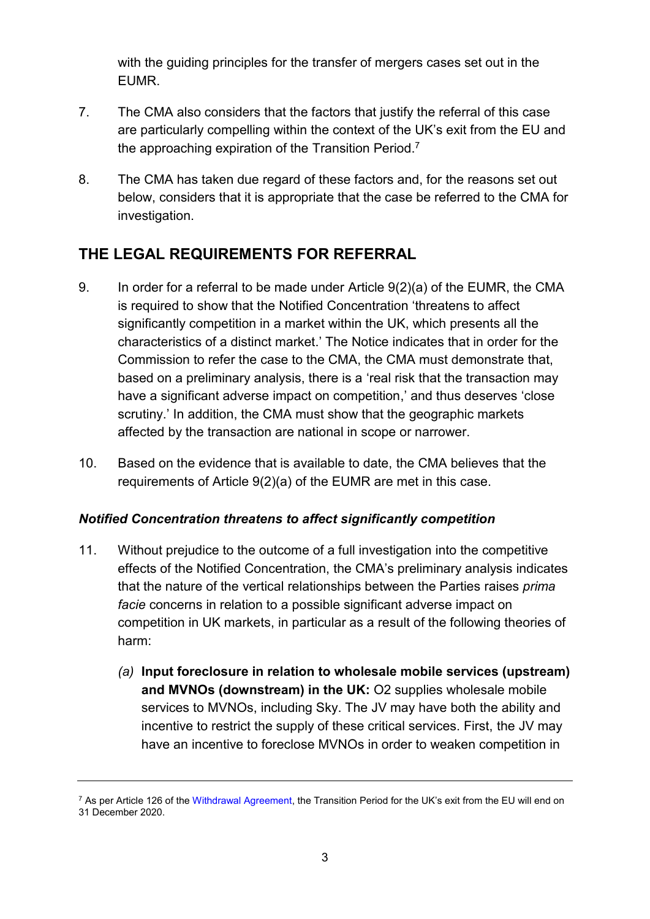with the guiding principles for the transfer of mergers cases set out in the EUMR.

- 7. The CMA also considers that the factors that justify the referral of this case are particularly compelling within the context of the UK's exit from the EU and the approaching expiration of the Transition Period.<sup>7</sup>
- 8. The CMA has taken due regard of these factors and, for the reasons set out below, considers that it is appropriate that the case be referred to the CMA for investigation.

# **THE LEGAL REQUIREMENTS FOR REFERRAL**

- 9. In order for a referral to be made under Article 9(2)(a) of the EUMR, the CMA is required to show that the Notified Concentration 'threatens to affect significantly competition in a market within the UK, which presents all the characteristics of a distinct market.' The Notice indicates that in order for the Commission to refer the case to the CMA, the CMA must demonstrate that, based on a preliminary analysis, there is a 'real risk that the transaction may have a significant adverse impact on competition,' and thus deserves 'close scrutiny.' In addition, the CMA must show that the geographic markets affected by the transaction are national in scope or narrower.
- 10. Based on the evidence that is available to date, the CMA believes that the requirements of Article 9(2)(a) of the EUMR are met in this case.

### *Notified Concentration threatens to affect significantly competition*

- <span id="page-2-0"></span>11. Without prejudice to the outcome of a full investigation into the competitive effects of the Notified Concentration, the CMA's preliminary analysis indicates that the nature of the vertical relationships between the Parties raises *prima facie* concerns in relation to a possible significant adverse impact on competition in UK markets, in particular as a result of the following theories of harm:
	- *(a)* **Input foreclosure in relation to wholesale mobile services (upstream) and MVNOs (downstream) in the UK:** O2 supplies wholesale mobile services to MVNOs, including Sky. The JV may have both the ability and incentive to restrict the supply of these critical services. First, the JV may have an incentive to foreclose MVNOs in order to weaken competition in

<sup>&</sup>lt;sup>7</sup> As per Article 126 of the [Withdrawal Agreement,](https://assets.publishing.service.gov.uk/government/uploads/system/uploads/attachment_data/file/840655/Agreement_on_the_withdrawal_of_the_United_Kingdom_of_Great_Britain_and_Northern_Ireland_from_the_European_Union_and_the_European_Atomic_Energy_Community.pdf) the Transition Period for the UK's exit from the EU will end on 31 December 2020.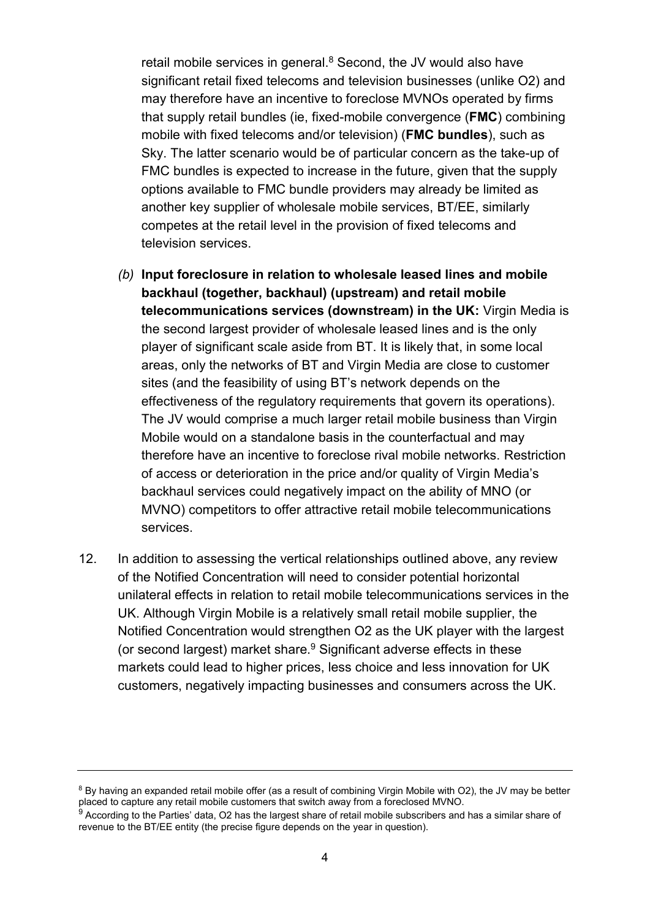retail mobile services in general. $8$  Second, the JV would also have significant retail fixed telecoms and television businesses (unlike O2) and may therefore have an incentive to foreclose MVNOs operated by firms that supply retail bundles (ie, fixed-mobile convergence (**FMC**) combining mobile with fixed telecoms and/or television) (**FMC bundles**), such as Sky. The latter scenario would be of particular concern as the take-up of FMC bundles is expected to increase in the future, given that the supply options available to FMC bundle providers may already be limited as another key supplier of wholesale mobile services, BT/EE, similarly competes at the retail level in the provision of fixed telecoms and television services.

- *(b)* **Input foreclosure in relation to wholesale leased lines and mobile backhaul (together, backhaul) (upstream) and retail mobile telecommunications services (downstream) in the UK:** Virgin Media is the second largest provider of wholesale leased lines and is the only player of significant scale aside from BT. It is likely that, in some local areas, only the networks of BT and Virgin Media are close to customer sites (and the feasibility of using BT's network depends on the effectiveness of the regulatory requirements that govern its operations). The JV would comprise a much larger retail mobile business than Virgin Mobile would on a standalone basis in the counterfactual and may therefore have an incentive to foreclose rival mobile networks. Restriction of access or deterioration in the price and/or quality of Virgin Media's backhaul services could negatively impact on the ability of MNO (or MVNO) competitors to offer attractive retail mobile telecommunications services.
- 12. In addition to assessing the vertical relationships outlined above, any review of the Notified Concentration will need to consider potential horizontal unilateral effects in relation to retail mobile telecommunications services in the UK. Although Virgin Mobile is a relatively small retail mobile supplier, the Notified Concentration would strengthen O2 as the UK player with the largest (or second largest) market share.<sup>9</sup> Significant adverse effects in these markets could lead to higher prices, less choice and less innovation for UK customers, negatively impacting businesses and consumers across the UK.

<sup>&</sup>lt;sup>8</sup> By having an expanded retail mobile offer (as a result of combining Virgin Mobile with O2), the JV may be better placed to capture any retail mobile customers that switch away from a foreclosed MVNO.

 $^9$  According to the Parties' data, O2 has the largest share of retail mobile subscribers and has a similar share of revenue to the BT/EE entity (the precise figure depends on the year in question).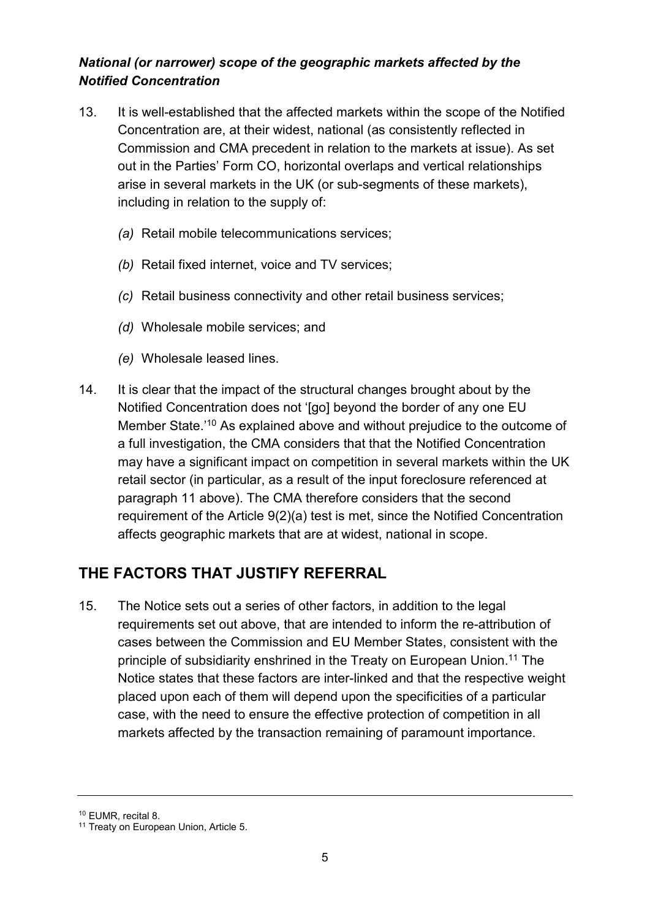### *National (or narrower) scope of the geographic markets affected by the Notified Concentration*

- 13. It is well-established that the affected markets within the scope of the Notified Concentration are, at their widest, national (as consistently reflected in Commission and CMA precedent in relation to the markets at issue). As set out in the Parties' Form CO, horizontal overlaps and vertical relationships arise in several markets in the UK (or sub-segments of these markets), including in relation to the supply of:
	- *(a)* Retail mobile telecommunications services;
	- *(b)* Retail fixed internet, voice and TV services;
	- *(c)* Retail business connectivity and other retail business services;
	- *(d)* Wholesale mobile services; and
	- *(e)* Wholesale leased lines.
- 14. It is clear that the impact of the structural changes brought about by the Notified Concentration does not '[go] beyond the border of any one EU Member State.' <sup>10</sup> As explained above and without prejudice to the outcome of a full investigation, the CMA considers that that the Notified Concentration may have a significant impact on competition in several markets within the UK retail sector (in particular, as a result of the input foreclosure referenced at paragraph [11](#page-2-0) above). The CMA therefore considers that the second requirement of the Article 9(2)(a) test is met, since the Notified Concentration affects geographic markets that are at widest, national in scope.

# **THE FACTORS THAT JUSTIFY REFERRAL**

15. The Notice sets out a series of other factors, in addition to the legal requirements set out above, that are intended to inform the re-attribution of cases between the Commission and EU Member States, consistent with the principle of subsidiarity enshrined in the Treaty on European Union. <sup>11</sup> The Notice states that these factors are inter-linked and that the respective weight placed upon each of them will depend upon the specificities of a particular case, with the need to ensure the effective protection of competition in all markets affected by the transaction remaining of paramount importance.

<sup>10</sup> EUMR, recital 8.

<sup>&</sup>lt;sup>11</sup> Treaty on European Union, Article 5.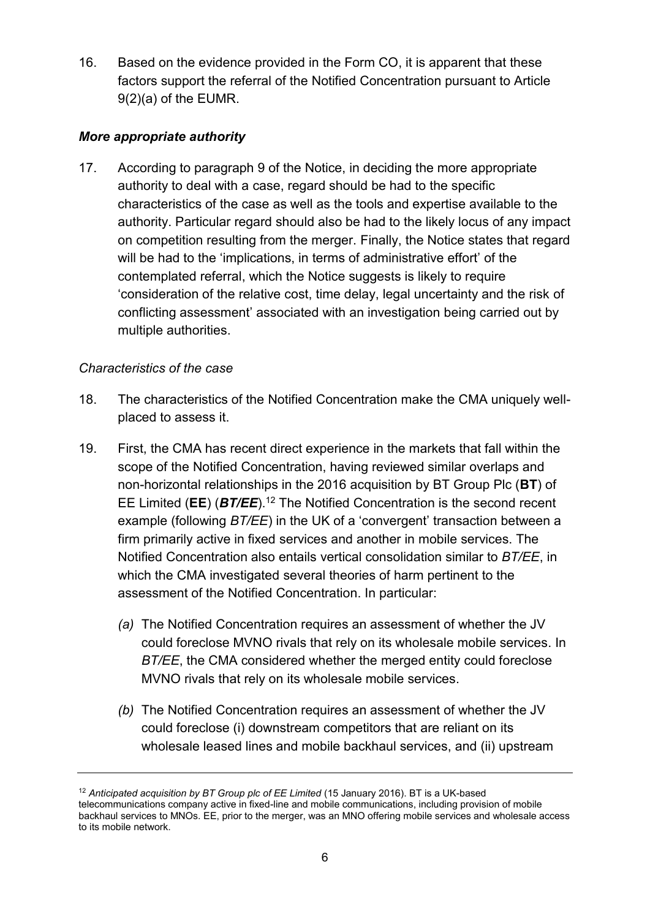16. Based on the evidence provided in the Form CO, it is apparent that these factors support the referral of the Notified Concentration pursuant to Article 9(2)(a) of the EUMR.

### *More appropriate authority*

17. According to paragraph 9 of the Notice, in deciding the more appropriate authority to deal with a case, regard should be had to the specific characteristics of the case as well as the tools and expertise available to the authority. Particular regard should also be had to the likely locus of any impact on competition resulting from the merger. Finally, the Notice states that regard will be had to the 'implications, in terms of administrative effort' of the contemplated referral, which the Notice suggests is likely to require 'consideration of the relative cost, time delay, legal uncertainty and the risk of conflicting assessment' associated with an investigation being carried out by multiple authorities.

### *Characteristics of the case*

- 18. The characteristics of the Notified Concentration make the CMA uniquely wellplaced to assess it.
- 19. First, the CMA has recent direct experience in the markets that fall within the scope of the Notified Concentration, having reviewed similar overlaps and non-horizontal relationships in the 2016 acquisition by BT Group Plc (**BT**) of EE Limited (**EE**) (*BT/EE*). <sup>12</sup> The Notified Concentration is the second recent example (following *BT/EE*) in the UK of a 'convergent' transaction between a firm primarily active in fixed services and another in mobile services. The Notified Concentration also entails vertical consolidation similar to *BT/EE*, in which the CMA investigated several theories of harm pertinent to the assessment of the Notified Concentration. In particular:
	- *(a)* The Notified Concentration requires an assessment of whether the JV could foreclose MVNO rivals that rely on its wholesale mobile services. In *BT/EE*, the CMA considered whether the merged entity could foreclose MVNO rivals that rely on its wholesale mobile services.
	- *(b)* The Notified Concentration requires an assessment of whether the JV could foreclose (i) downstream competitors that are reliant on its wholesale leased lines and mobile backhaul services, and (ii) upstream

<sup>&</sup>lt;sup>12</sup> Anticipated acquisition by BT Group plc of EE Limited (15 January 2016). BT is a UK-based telecommunications company active in fixed-line and mobile communications, including provision of mobile backhaul services to MNOs. EE, prior to the merger, was an MNO offering mobile services and wholesale access to its mobile network.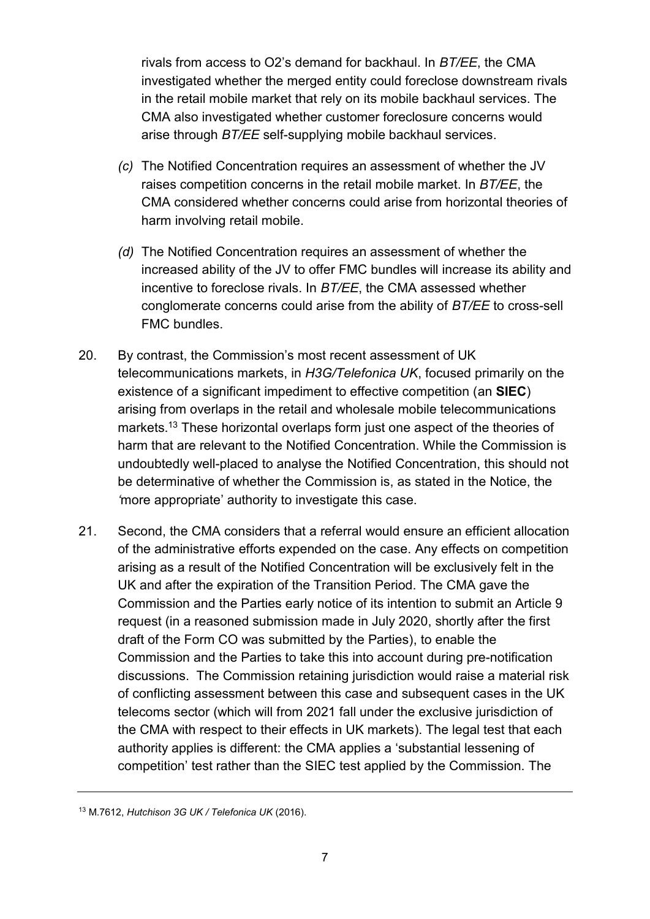rivals from access to O2's demand for backhaul. In *BT/EE*, the CMA investigated whether the merged entity could foreclose downstream rivals in the retail mobile market that rely on its mobile backhaul services. The CMA also investigated whether customer foreclosure concerns would arise through *BT/EE* self-supplying mobile backhaul services.

- *(c)* The Notified Concentration requires an assessment of whether the JV raises competition concerns in the retail mobile market. In *BT/EE*, the CMA considered whether concerns could arise from horizontal theories of harm involving retail mobile.
- *(d)* The Notified Concentration requires an assessment of whether the increased ability of the JV to offer FMC bundles will increase its ability and incentive to foreclose rivals. In *BT/EE*, the CMA assessed whether conglomerate concerns could arise from the ability of *BT/EE* to cross-sell FMC bundles.
- 20. By contrast, the Commission's most recent assessment of UK telecommunications markets, in *H3G/Telefonica UK*, focused primarily on the existence of a significant impediment to effective competition (an **SIEC**) arising from overlaps in the retail and wholesale mobile telecommunications markets.<sup>13</sup> These horizontal overlaps form just one aspect of the theories of harm that are relevant to the Notified Concentration. While the Commission is undoubtedly well-placed to analyse the Notified Concentration, this should not be determinative of whether the Commission is, as stated in the Notice, the *'*more appropriate' authority to investigate this case.
- 21. Second, the CMA considers that a referral would ensure an efficient allocation of the administrative efforts expended on the case. Any effects on competition arising as a result of the Notified Concentration will be exclusively felt in the UK and after the expiration of the Transition Period. The CMA gave the Commission and the Parties early notice of its intention to submit an Article 9 request (in a reasoned submission made in July 2020, shortly after the first draft of the Form CO was submitted by the Parties), to enable the Commission and the Parties to take this into account during pre-notification discussions. The Commission retaining jurisdiction would raise a material risk of conflicting assessment between this case and subsequent cases in the UK telecoms sector (which will from 2021 fall under the exclusive jurisdiction of the CMA with respect to their effects in UK markets). The legal test that each authority applies is different: the CMA applies a 'substantial lessening of competition' test rather than the SIEC test applied by the Commission. The

<sup>13</sup> M.7612, *Hutchison 3G UK / Telefonica UK* (2016).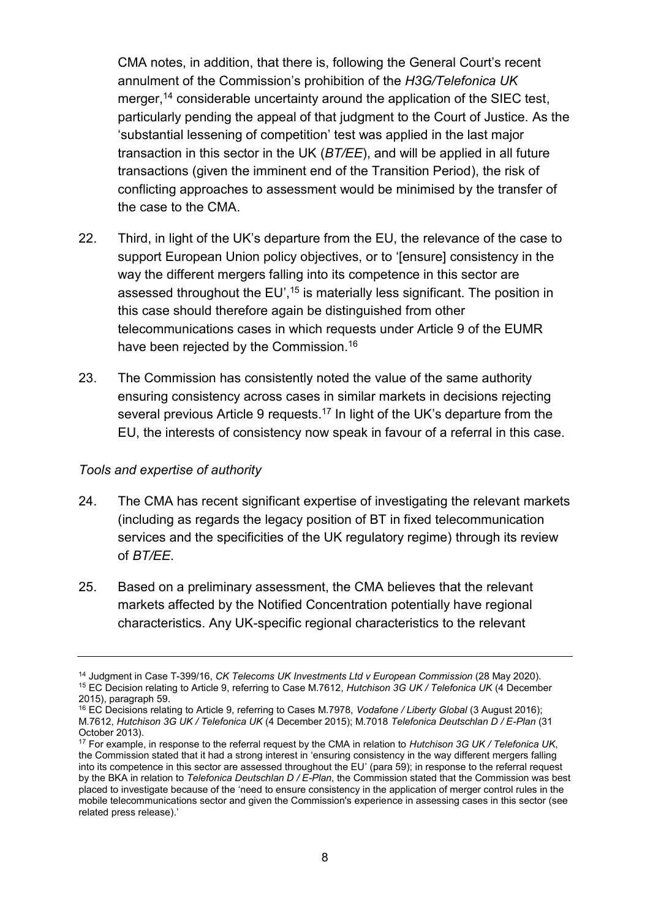CMA notes, in addition, that there is, following the General Court's recent annulment of the Commission's prohibition of the *H3G/Telefonica UK*  merger,<sup>14</sup> considerable uncertainty around the application of the SIEC test, particularly pending the appeal of that judgment to the Court of Justice. As the 'substantial lessening of competition' test was applied in the last major transaction in this sector in the UK (*BT/EE*), and will be applied in all future transactions (given the imminent end of the Transition Period), the risk of conflicting approaches to assessment would be minimised by the transfer of the case to the CMA.

- 22. Third, in light of the UK's departure from the EU, the relevance of the case to support European Union policy objectives, or to '[ensure] consistency in the way the different mergers falling into its competence in this sector are assessed throughout the EU',<sup>15</sup> is materially less significant. The position in this case should therefore again be distinguished from other telecommunications cases in which requests under Article 9 of the EUMR have been rejected by the Commission.<sup>16</sup>
- 23. The Commission has consistently noted the value of the same authority ensuring consistency across cases in similar markets in decisions rejecting several previous Article 9 requests.<sup>17</sup> In light of the UK's departure from the EU, the interests of consistency now speak in favour of a referral in this case.

#### *Tools and expertise of authority*

- 24. The CMA has recent significant expertise of investigating the relevant markets (including as regards the legacy position of BT in fixed telecommunication services and the specificities of the UK regulatory regime) through its review of *BT/EE*.
- 25. Based on a preliminary assessment, the CMA believes that the relevant markets affected by the Notified Concentration potentially have regional characteristics. Any UK-specific regional characteristics to the relevant

<sup>14</sup> Judgment in Case T-399/16, *CK Telecoms UK Investments Ltd v European Commission* (28 May 2020). <sup>15</sup> EC Decision relating to Article 9, referring to Case M.7612, *Hutchison 3G UK / Telefonica UK* (4 December 2015), paragraph 59.

<sup>16</sup> EC Decisions relating to Article 9, referring to Cases M.7978, *Vodafone / Liberty Global* (3 August 2016); M.7612, *Hutchison 3G UK / Telefonica UK* (4 December 2015); M.7018 *Telefonica Deutschlan D / E-Plan* (31 October 2013).

<sup>17</sup> For example, in response to the referral request by the CMA in relation to *Hutchison 3G UK / Telefonica UK*, the Commission stated that it had a strong interest in 'ensuring consistency in the way different mergers falling into its competence in this sector are assessed throughout the EU' (para 59); in response to the referral request by the BKA in relation to *Telefonica Deutschlan D / E-Plan*, the Commission stated that the Commission was best placed to investigate because of the 'need to ensure consistency in the application of merger control rules in the mobile telecommunications sector and given the Commission's experience in assessing cases in this sector (see [related press release\)](https://ec.europa.eu/commission/presscorner/detail/en/IP_14_95).'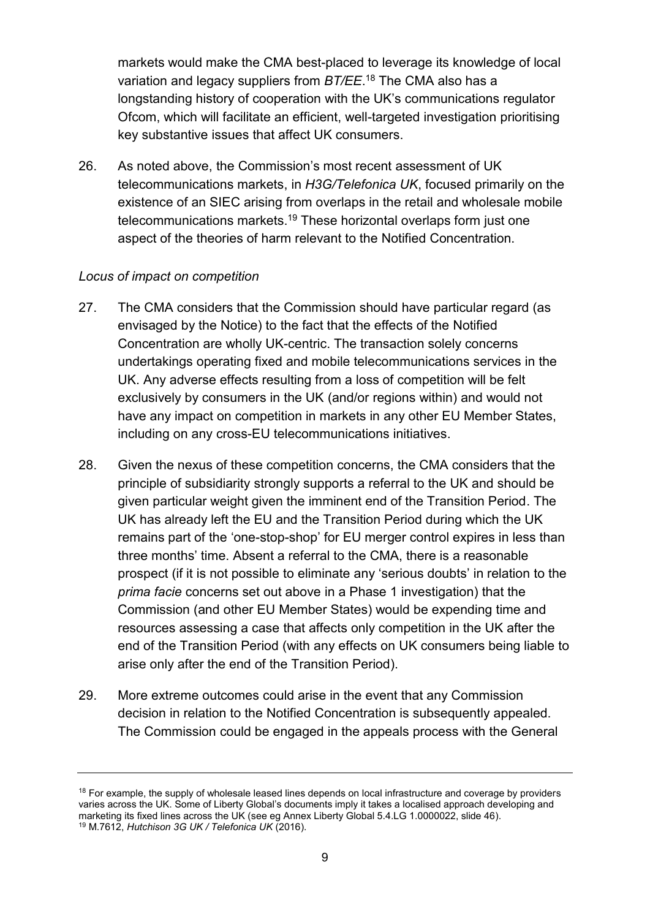markets would make the CMA best-placed to leverage its knowledge of local variation and legacy suppliers from *BT/EE*. <sup>18</sup> The CMA also has a longstanding history of cooperation with the UK's communications regulator Ofcom, which will facilitate an efficient, well-targeted investigation prioritising key substantive issues that affect UK consumers.

26. As noted above, the Commission's most recent assessment of UK telecommunications markets, in *H3G/Telefonica UK*, focused primarily on the existence of an SIEC arising from overlaps in the retail and wholesale mobile telecommunications markets.<sup>19</sup> These horizontal overlaps form just one aspect of the theories of harm relevant to the Notified Concentration.

#### *Locus of impact on competition*

- 27. The CMA considers that the Commission should have particular regard (as envisaged by the Notice) to the fact that the effects of the Notified Concentration are wholly UK-centric. The transaction solely concerns undertakings operating fixed and mobile telecommunications services in the UK. Any adverse effects resulting from a loss of competition will be felt exclusively by consumers in the UK (and/or regions within) and would not have any impact on competition in markets in any other EU Member States, including on any cross-EU telecommunications initiatives.
- 28. Given the nexus of these competition concerns, the CMA considers that the principle of subsidiarity strongly supports a referral to the UK and should be given particular weight given the imminent end of the Transition Period. The UK has already left the EU and the Transition Period during which the UK remains part of the 'one-stop-shop' for EU merger control expires in less than three months' time. Absent a referral to the CMA, there is a reasonable prospect (if it is not possible to eliminate any 'serious doubts' in relation to the *prima facie* concerns set out above in a Phase 1 investigation) that the Commission (and other EU Member States) would be expending time and resources assessing a case that affects only competition in the UK after the end of the Transition Period (with any effects on UK consumers being liable to arise only after the end of the Transition Period).
- 29. More extreme outcomes could arise in the event that any Commission decision in relation to the Notified Concentration is subsequently appealed. The Commission could be engaged in the appeals process with the General

<sup>&</sup>lt;sup>18</sup> For example, the supply of wholesale leased lines depends on local infrastructure and coverage by providers varies across the UK. Some of Liberty Global's documents imply it takes a localised approach developing and marketing its fixed lines across the UK (see eg Annex Liberty Global 5.4.LG 1.0000022, slide 46). <sup>19</sup> M.7612, *Hutchison 3G UK / Telefonica UK* (2016).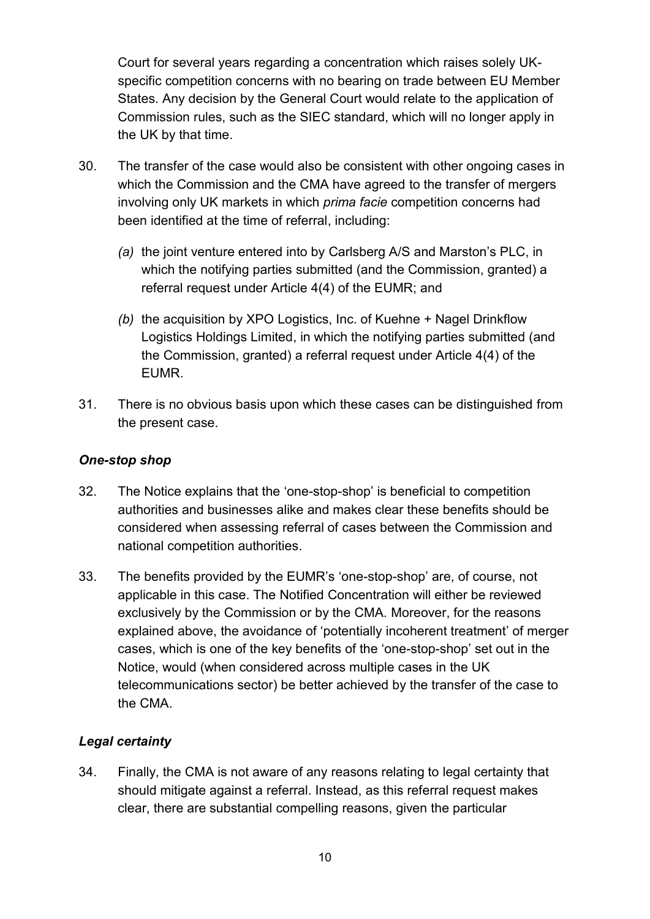Court for several years regarding a concentration which raises solely UKspecific competition concerns with no bearing on trade between EU Member States. Any decision by the General Court would relate to the application of Commission rules, such as the SIEC standard, which will no longer apply in the UK by that time.

- 30. The transfer of the case would also be consistent with other ongoing cases in which the Commission and the CMA have agreed to the transfer of mergers involving only UK markets in which *prima facie* competition concerns had been identified at the time of referral, including:
	- *(a)* the joint venture entered into by Carlsberg A/S and Marston's PLC, in which the notifying parties submitted (and the Commission, granted) a referral request under Article 4(4) of the EUMR; and
	- *(b)* the acquisition by XPO Logistics, Inc. of Kuehne + Nagel Drinkflow Logistics Holdings Limited, in which the notifying parties submitted (and the Commission, granted) a referral request under Article 4(4) of the EUMR.
- 31. There is no obvious basis upon which these cases can be distinguished from the present case.

### *One-stop shop*

- 32. The Notice explains that the 'one-stop-shop' is beneficial to competition authorities and businesses alike and makes clear these benefits should be considered when assessing referral of cases between the Commission and national competition authorities.
- 33. The benefits provided by the EUMR's 'one-stop-shop' are, of course, not applicable in this case. The Notified Concentration will either be reviewed exclusively by the Commission or by the CMA. Moreover, for the reasons explained above, the avoidance of 'potentially incoherent treatment' of merger cases, which is one of the key benefits of the 'one-stop-shop' set out in the Notice, would (when considered across multiple cases in the UK telecommunications sector) be better achieved by the transfer of the case to the CMA.

### *Legal certainty*

34. Finally, the CMA is not aware of any reasons relating to legal certainty that should mitigate against a referral. Instead, as this referral request makes clear, there are substantial compelling reasons, given the particular